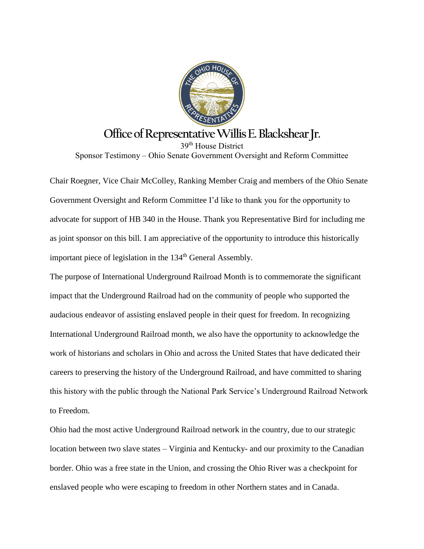

## **Office of Representative Willis E. Blackshear Jr.**

39th House District Sponsor Testimony – Ohio Senate Government Oversight and Reform Committee

Chair Roegner, Vice Chair McColley, Ranking Member Craig and members of the Ohio Senate Government Oversight and Reform Committee I'd like to thank you for the opportunity to advocate for support of HB 340 in the House. Thank you Representative Bird for including me as joint sponsor on this bill. I am appreciative of the opportunity to introduce this historically important piece of legislation in the 134<sup>th</sup> General Assembly.

The purpose of International Underground Railroad Month is to commemorate the significant impact that the Underground Railroad had on the community of people who supported the audacious endeavor of assisting enslaved people in their quest for freedom. In recognizing International Underground Railroad month, we also have the opportunity to acknowledge the work of historians and scholars in Ohio and across the United States that have dedicated their careers to preserving the history of the Underground Railroad, and have committed to sharing this history with the public through the National Park Service's Underground Railroad Network to Freedom.

Ohio had the most active Underground Railroad network in the country, due to our strategic location between two slave states – Virginia and Kentucky- and our proximity to the Canadian border. Ohio was a free state in the Union, and crossing the Ohio River was a checkpoint for enslaved people who were escaping to freedom in other Northern states and in Canada.